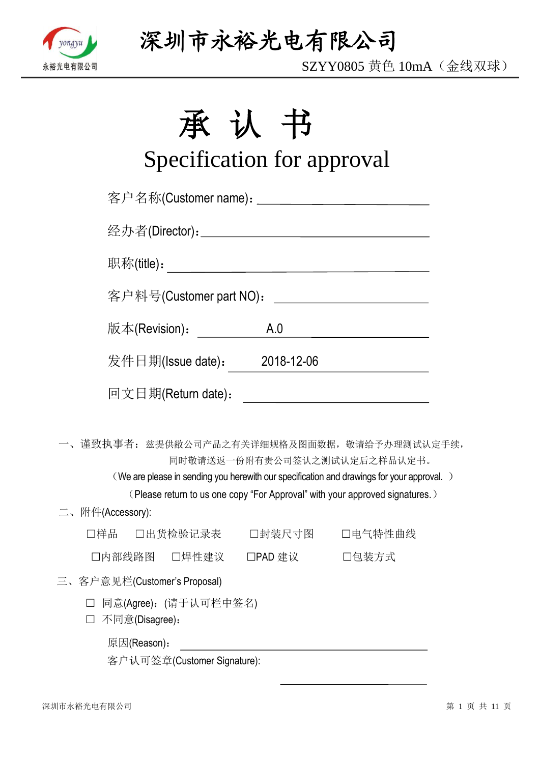

SZYY0805 黄色 10mA(金线双球)

# 承认书

# Specification for approval

|                                           |                         |                              | 客户名称(Customer name): _____________________________                                                                                                                                                                                                        |  |
|-------------------------------------------|-------------------------|------------------------------|-----------------------------------------------------------------------------------------------------------------------------------------------------------------------------------------------------------------------------------------------------------|--|
|                                           |                         |                              |                                                                                                                                                                                                                                                           |  |
|                                           |                         |                              |                                                                                                                                                                                                                                                           |  |
|                                           | 客户料号(Customer part NO): |                              | <u> 1980 - Johann Barbara, martin a</u>                                                                                                                                                                                                                   |  |
|                                           | 版本(Revision):           | A.0                          | <u> 1989 - Johann Barbara, martxa a</u>                                                                                                                                                                                                                   |  |
|                                           |                         | 发件日期(Issue date): 2018-12-06 |                                                                                                                                                                                                                                                           |  |
|                                           | 回文日期(Return date):      |                              | <u> 1989 - Jan Barbara Barat, politik eta politik eta politik eta politik eta politik eta politik eta politik e</u>                                                                                                                                       |  |
|                                           |                         |                              | 一、谨致执事者: 兹提供敝公司产品之有关详细规格及图面数据, 敬请给予办理测试认定手续,<br>同时敬请送返一份附有贵公司签认之测试认定后之样品认定书。<br>(We are please in sending you herewith our specification and drawings for your approval.)<br>(Please return to us one copy "For Approval" with your approved signatures.) |  |
| 二、附件(Accessory):                          |                         |                              |                                                                                                                                                                                                                                                           |  |
|                                           |                         |                              | □样品  □出货检验记录表   □封装尺寸图   □电气特性曲线                                                                                                                                                                                                                          |  |
|                                           |                         | □内部线路图 □焊性建议 □PAD 建议 □□包装方式  |                                                                                                                                                                                                                                                           |  |
| 三、客户意见栏(Customer's Proposal)              |                         |                              |                                                                                                                                                                                                                                                           |  |
| □ 同意(Agree): (请于认可栏中签名)<br>不同意(Disagree): |                         |                              |                                                                                                                                                                                                                                                           |  |
| 原因(Reason):                               |                         |                              |                                                                                                                                                                                                                                                           |  |

客户认可签章(Customer Signature):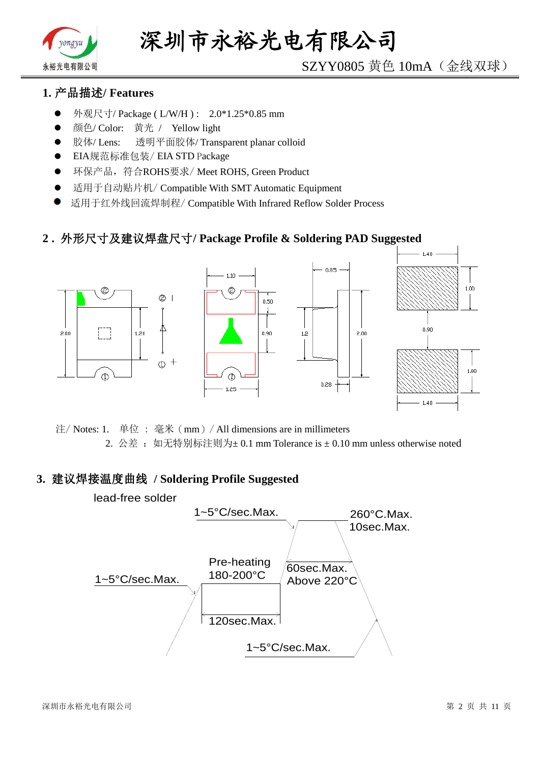

# SZYY0805 黄色 10mA(金线双球)

# **1.** 产品描述**/ Features**

- 外观尺寸/ Package ( L/W/H ) : 2.0\*1.25\*0.85 mm
- 颜色/ Color: 黄光 / Yellow light
- 胶体/ Lens: 透明平面胶体/ Transparent planar colloid
- EIA规范标准包装/ EIA STD Package
- **●** 环保产品,符合ROHS要求/Meet ROHS, Green Product
- 适用于自动贴片机/ Compatible With SMT Automatic Equipment
- 适用于红外线回流焊制程/ Compatible With Infrared Reflow Solder Process

## **2 .** 外形尺寸及建议焊盘尺寸**/ Package Profile & Soldering PAD Suggested**



注/ Notes: 1. 单位 : 毫米(mm)/ All dimensions are in millimeters 2. 公差: 如无特别标注则为±0.1 mm Tolerance is ±0.10 mm unless otherwise noted

#### **3.** 建议焊接温度曲线 **/ Soldering Profile Suggested**

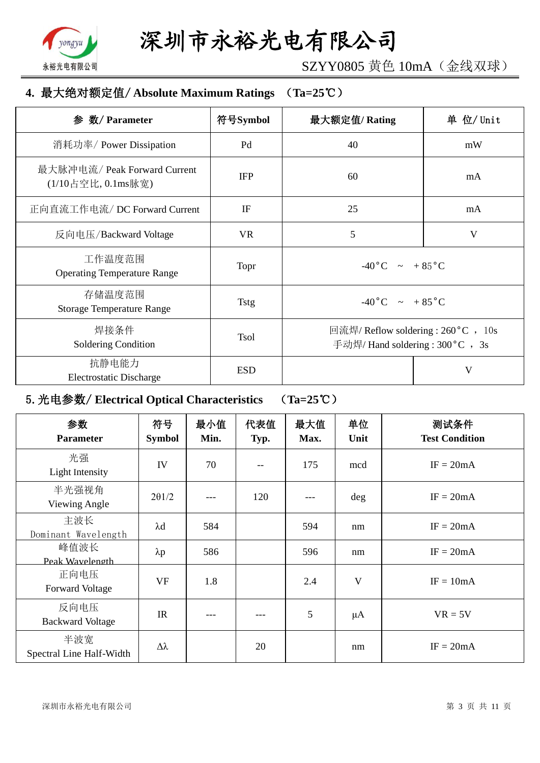

SZYY0805 黄色 10mA(金线双球)

## **4.** 最大绝对额定值/ **Absolute Maximum Ratings** (**Ta=25**℃)

| 数/ Parameter<br>参                                  | 符号Symbol    | 最大额定值/Rating                                                             | 单 位/ Unit |  |
|----------------------------------------------------|-------------|--------------------------------------------------------------------------|-----------|--|
| 消耗功率/ Power Dissipation                            | Pd          | 40                                                                       | mW        |  |
| 最大脉冲电流/ Peak Forward Current<br>(1/10占空比, 0.1ms脉宽) | <b>IFP</b>  | 60                                                                       | mA        |  |
| 正向直流工作电流/DC Forward Current                        | IF          | 25                                                                       | mA        |  |
| 反向电压/Backward Voltage                              | <b>VR</b>   | 5                                                                        | V         |  |
| 工作温度范围<br><b>Operating Temperature Range</b>       | Topr        | $-40\degree C$ ~ +85 $\degree C$                                         |           |  |
| 存储温度范围<br><b>Storage Temperature Range</b>         | <b>Tstg</b> | $-40\degree C$ $\sim +85\degree C$                                       |           |  |
| 焊接条件<br>Soldering Condition                        | <b>Tsol</b> | 回流焊/ Reflow soldering : 260 °C , 10s<br>手动焊/ Hand soldering : 300 °C, 3s |           |  |
| 抗静电能力<br><b>Electrostatic Discharge</b>            | <b>ESD</b>  |                                                                          | V         |  |

# 5.光电参数/ **Electrical Optical Characteristics** (**Ta=25**℃)

| 参数<br><b>Parameter</b>          | 符号<br><b>Symbol</b> | 最小值<br>Min. | 代表值<br>Typ. | 最大值<br>Max. | 单位<br>Unit | 测试条件<br><b>Test Condition</b> |
|---------------------------------|---------------------|-------------|-------------|-------------|------------|-------------------------------|
| 光强<br>Light Intensity           | IV                  | 70          |             | 175         | mcd        | $IF = 20mA$                   |
| 半光强视角<br>Viewing Angle          | $2\theta$ 1/2       |             | 120         |             | deg        | $IF = 20mA$                   |
| 主波长<br>Dominant Wavelength      | $\lambda$ d         | 584         |             | 594         | nm         | $IF = 20mA$                   |
| 峰值波长<br>Peak Wavelength         | $\lambda p$         | 586         |             | 596         | nm         | $IF = 20mA$                   |
| 正向电压<br><b>Forward Voltage</b>  | <b>VF</b>           | 1.8         |             | 2.4         | V          | $IF = 10mA$                   |
| 反向电压<br><b>Backward Voltage</b> | IR                  | ---         |             | 5           | $\mu A$    | $VR = 5V$                     |
| 半波宽<br>Spectral Line Half-Width | $\Delta \lambda$    |             | 20          |             | nm         | $IF = 20mA$                   |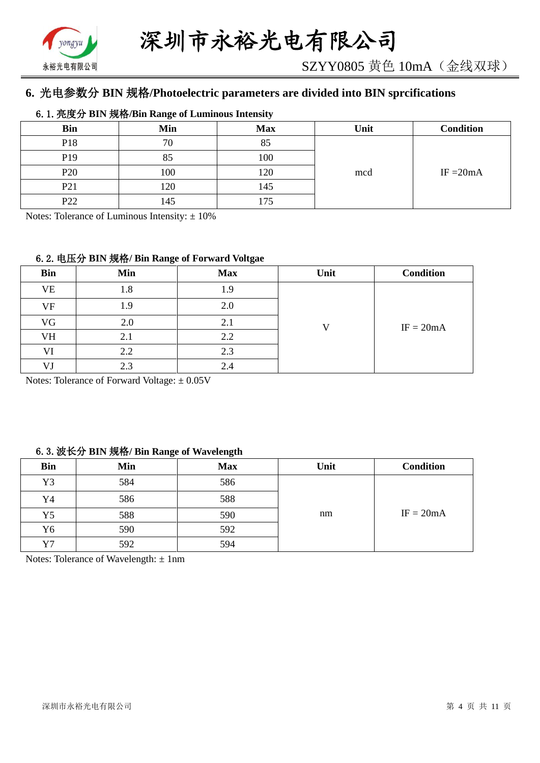

# **6.** 光电参数分 **BIN** 规格**/Photoelectric parameters are divided into BIN sprcifications**

#### 6.1.亮度分 **BIN** 规格**/Bin Range of Luminous Intensity**

| <b>Bin</b>      | Min | <b>Max</b>     | Unit | <b>Condition</b> |
|-----------------|-----|----------------|------|------------------|
| P18             | 70  | $Q \leq$<br>റാ |      |                  |
| P <sub>19</sub> | 85  | 100            |      |                  |
| P <sub>20</sub> | 100 | 120            | mcd  | IF $=20mA$       |
| P <sub>21</sub> | 120 | 145            |      |                  |
| P <sub>22</sub> | 145 | .75            |      |                  |

Notes: Tolerance of Luminous Intensity:  $\pm 10\%$ 

#### 6.2.电压分 **BIN** 规格**/ Bin Range of Forward Voltgae**

| <b>Bin</b> | Min | <b>Max</b> | Unit | <b>Condition</b> |
|------------|-----|------------|------|------------------|
| VE         | 1.8 | 1.9        |      |                  |
| VF         | 1.9 | 2.0        |      |                  |
| VG         | 2.0 | 2.1        | T 7  | $IF = 20mA$      |
| VH         | 2.1 | 2.2        |      |                  |
| VI         | 2.2 | 2.3        |      |                  |
| VJ         | 2.3 | 2.4        |      |                  |

Notes: Tolerance of Forward Voltage: ±0.05V

#### 6.3.波长分 **BIN** 规格**/ Bin Range of Wavelength**

| <b>Bin</b> | Min | <b>Max</b> | Unit | <b>Condition</b> |
|------------|-----|------------|------|------------------|
| Y3         | 584 | 586        |      |                  |
| Y4         | 586 | 588        |      |                  |
| Y5         | 588 | 590        | nm   | $IF = 20mA$      |
| Y6         | 590 | 592        |      |                  |
| Y7         | 592 | 594        |      |                  |

Notes: Tolerance of Wavelength: ±1nm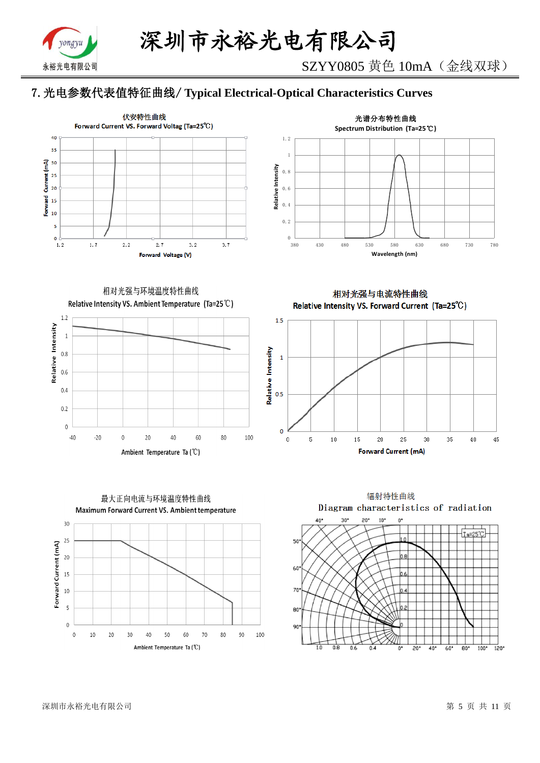

# 7.光电参数代表值特征曲线/ **Typical Electrical-Optical Characteristics Curves**





相对光强与环境温度特性曲线 Relative Intensity VS. Ambient Temperature (Ta=25°C)



最大正向电流与环境温度特性曲线 Maximum Forward Current VS. Ambient temperature  $30$ 25 Forward Current (mA)  $20$ 15  $10$  $\overline{\mathbf{5}}$ 

80

70

90

100

相对光强与电流特性曲线 Relative Intensity VS. Forward Current (Ta=25°C)





 $\overline{0}$ 

 $\,0\,$ 

10

20

30

40

50

Ambient Temperature Ta (°C)

60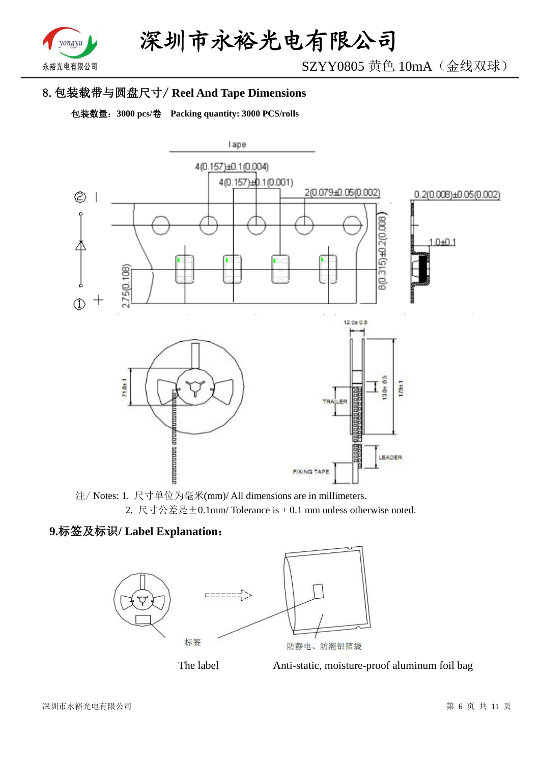

SZYY0805 黄色 10mA(金线双球)

# 8.包装载带与圆盘尺寸/ **Reel And Tape Dimensions**

包装数量:**3000 pcs/**卷 **Packing quantity: 3000 PCS/rolls**



注/ Notes: 1. 尺寸单位为毫米(mm)/ All dimensions are in millimeters. 2. 尺寸公差是±0.1mm/ Tolerance is ± 0.1 mm unless otherwise noted.

# **9.**标签及标识**/ Label Explanation**:





The label **Anti-static**, moisture-proof aluminum foil bag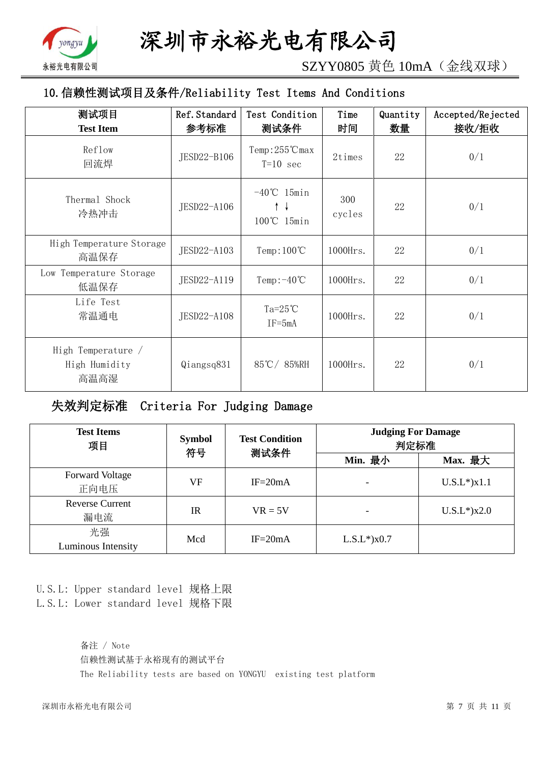

SZYY0805 黄色 10mA(金线双球)

# 10.信赖性测试项目及条件/Reliability Test Items And Conditions

| 测试项目<br><b>Test Item</b>                    | Ref. Standard<br>参考标准 | Test Condition<br>测试条件                    | Time<br>时间    | Quantity<br>数量 | Accepted/Rejected<br>接收/拒收 |
|---------------------------------------------|-----------------------|-------------------------------------------|---------------|----------------|----------------------------|
| Reflow<br>回流焊                               | JESD22-B106           | Temp:255℃max<br>$T=10$ sec                | 2times        | 22             | 0/1                        |
| Thermal Shock<br>冷热冲击                       | JESD22-A106           | $-40^{\circ}$ C 15min<br>↑↓<br>100℃ 15min | 300<br>cycles | 22             | 0/1                        |
| High Temperature Storage<br>高温保存            | JESD22-A103           | Temp: $100^{\circ}$ C                     | 1000Hrs.      | 22             | 0/1                        |
| Low Temperature Storage<br>低温保存             | JESD22-A119           | Temp: $-40^{\circ}$ C                     | 1000Hrs.      | 22             | 0/1                        |
| Life Test<br>常温通电                           | JESD22-A108           | Ta= $25^{\circ}$ C<br>$IF = 5mA$          | 1000Hrs.      | 22             | 0/1                        |
| High Temperature /<br>High Humidity<br>高温高湿 | Qiangsq831            | 85℃/85%RH                                 | $1000$ Hrs.   | 22             | 0/1                        |

失效判定标准 Criteria For Judging Damage

| <b>Test Items</b><br>项目        | <b>Symbol</b><br>符号 | <b>Test Condition</b><br>测试条件 | <b>Judging For Damage</b><br>判定标准 |                   |  |
|--------------------------------|---------------------|-------------------------------|-----------------------------------|-------------------|--|
|                                |                     |                               | Min. 最小                           | Max. 最大           |  |
| <b>Forward Voltage</b><br>正向电压 | VF                  | $IF = 20mA$                   |                                   | $U.S.L*$ ) $x1.1$ |  |
| <b>Reverse Current</b><br>漏电流  | <b>IR</b>           | $VR = 5V$                     |                                   | $U.S.L*$ )x2.0    |  |
| 光强<br>Luminous Intensity       | Mcd                 | $IF = 20mA$                   | $L.S.L*$ ) $x0.7$                 |                   |  |

U.S.L: Upper standard level 规格上限 L.S.L: Lower standard level 规格下限

> 备注 / Note 信赖性测试基于永裕现有的测试平台 The Reliability tests are based on YONGYU existing test platform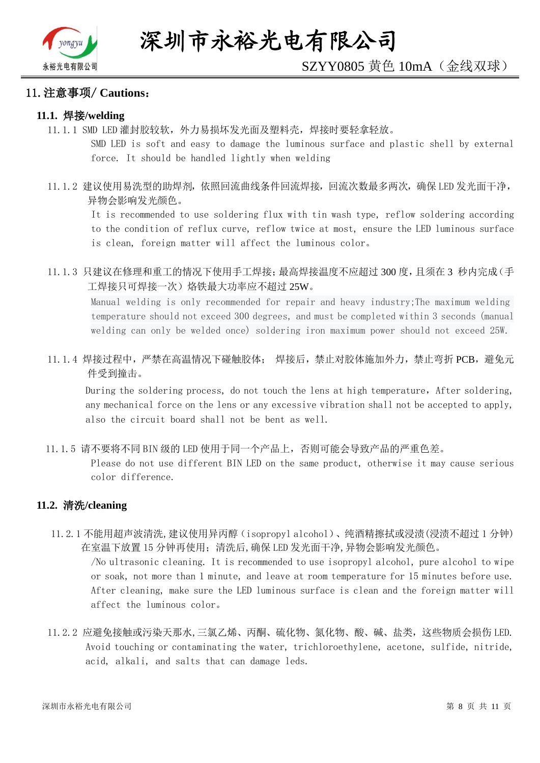

#### 11.注意事项/ **Cautions**:

#### **11.1.** 焊接**/welding**

11.1.1 SMD LED 灌封胶较软,外力易损坏发光面及塑料壳,焊接时要轻拿轻放。

SMD LED is soft and easy to damage the luminous surface and plastic shell by external force. It should be handled lightly when welding

11.1.2 建议使用易洗型的助焊剂,依照回流曲线条件回流焊接,回流次数最多两次,确保 LED 发光面干净, 异物会影响发光颜色。

It is recommended to use soldering flux with tin wash type, reflow soldering according to the condition of reflux curve, reflow twice at most, ensure the LED luminous surface is clean, foreign matter will affect the luminous color。

11.1.3 只建议在修理和重工的情况下使用手工焊接;最高焊接温度不应超过 300 度,且须在 3 秒内完成(手 工焊接只可焊接一次)烙铁最大功率应不超过 25W。

Manual welding is only recommended for repair and heavy industry;The maximum welding temperature should not exceed 300 degrees, and must be completed within 3 seconds (manual welding can only be welded once) soldering iron maximum power should not exceed 25W.

11.1.4 焊接过程中,严禁在高温情况下碰触胶体; 焊接后,禁止对胶体施加外力,禁止弯折 PCB,避免元 件受到撞击。

During the soldering process, do not touch the lens at high temperature, After soldering, any mechanical force on the lens or any excessive vibration shall not be accepted to apply, also the circuit board shall not be bent as well.

11.1.5 请不要将不同 BIN 级的 LED 使用于同一个产品上,否则可能会导致产品的严重色差。

Please do not use different BIN LED on the same product, otherwise it may cause serious color difference.

#### **11.2.** 清洗**/cleaning**

11.2.1 不能用超声波清洗,建议使用异丙醇(isopropyl alcohol)、纯酒精擦拭或浸渍(浸渍不超过 1 分钟) 在室温下放置 15 分钟再使用;清洗后,确保 LED 发光面干净,异物会影响发光颜色。

/No ultrasonic cleaning. It is recommended to use isopropyl alcohol, pure alcohol to wipe or soak, not more than 1 minute, and leave at room temperature for 15 minutes before use. After cleaning, make sure the LED luminous surface is clean and the foreign matter will affect the luminous color。

11.2.2 应避免接触或污染天那水,三氯乙烯、丙酮、硫化物、氮化物、酸、碱、盐类,这些物质会损伤 LED. Avoid touching or contaminating the water, trichloroethylene, acetone, sulfide, nitride, acid, alkali, and salts that can damage leds.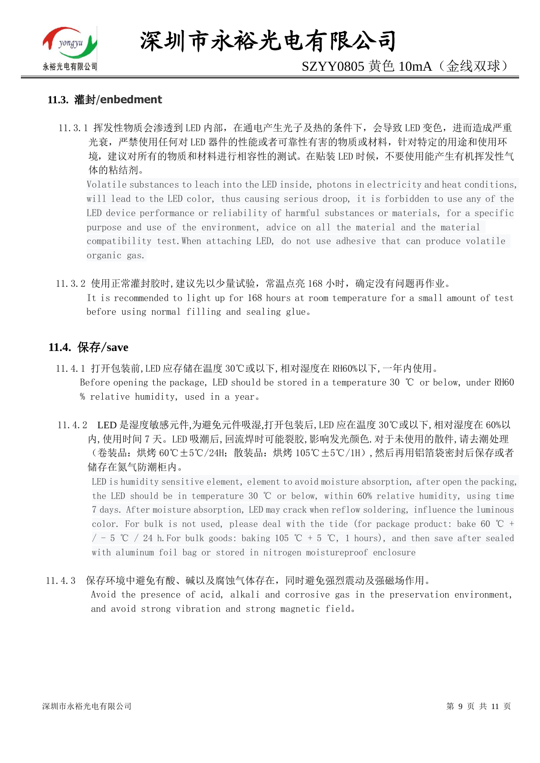

深圳市永裕光电有限公司

# SZYY0805 黄色 10mA(金线双球)

#### **11.3.** 灌封/**enbedment**

11.3.1 挥发性物质会渗透到 LED 内部, 在通电产生光子及热的条件下, 会导致 LED 变色, 进而造成严重 光衰,严禁使用任何对 LED 器件的性能或者可靠性有害的物质或材料,针对特定的用途和使用环 境,建议对所有的物质和材料进行相容性的测试。在贴装 LED 时候,不要使用能产生有机挥发性气 体的粘结剂。

Volatile substances to leach into the LED inside, photons in electricity and heat conditions, will lead to the LED color, thus causing serious droop, it is forbidden to use any of the LED device performance or reliability of harmful substances or materials, for a specific purpose and use of the environment, advice on all the material and the material compatibility test.When attaching LED, do not use adhesive that can produce volatile organic gas.

11.3.2 使用正常灌封胶时,建议先以少量试验,常温点亮 168 小时,确定没有问题再作业。 It is recommended to light up for 168 hours at room temperature for a small amount of test before using normal filling and sealing glue。

#### **11.4.** 保存/**save**

- 11.4.1 打开包装前,LED 应存储在温度 30℃或以下,相对湿度在 RH60%以下,一年内使用。 Before opening the package, LED should be stored in a temperature 30 ℃ or below, under RH60 % relative humidity, used in a year。
- 11.4.2 LED 是湿度敏感元件,为避免元件吸湿,打开包装后,LED 应在温度 30℃或以下,相对湿度在 60%以 内,使用时间 7 天。LED 吸潮后,回流焊时可能裂胶,影响发光颜色.对于未使用的散件,请去潮处理 (卷装品:烘烤 60℃±5℃/24H;散装品:烘烤 105℃±5℃/1H),然后再用铝箔袋密封后保存或者 储存在氮气防潮柜内。

LED is humidity sensitive element, element to avoid moisture absorption, after open the packing, the LED should be in temperature 30 ℃ or below, within 60% relative humidity, using time 7 days. After moisture absorption, LED may crack when reflow soldering, influence the luminous color. For bulk is not used, please deal with the tide (for package product: bake 60  $\degree$ C +  $/$  - 5 ℃ / 24 h. For bulk goods: baking 105 ℃ + 5 ℃, 1 hours), and then save after sealed with aluminum foil bag or stored in nitrogen moistureproof enclosure

#### 11.4.3 保存环境中避免有酸、碱以及腐蚀气体存在,同时避免强烈震动及强磁场作用。

Avoid the presence of acid, alkali and corrosive gas in the preservation environment, and avoid strong vibration and strong magnetic field。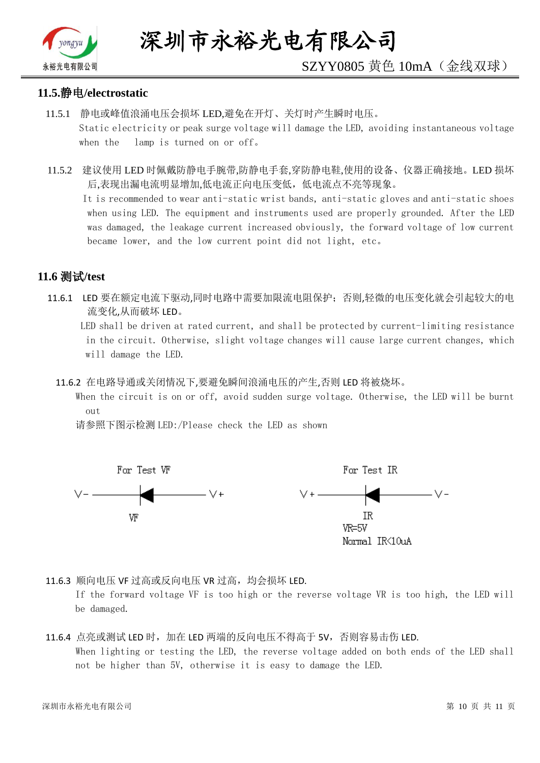

# SZYY0805 黄色 10mA(金线双球)

#### **11.5.**静电**/electrostatic**

- 11.5.1 静电或峰值浪涌电压会损坏 LED,避免在开灯、关灯时产生瞬时电压。 Static electricity or peak surge voltage will damage the LED, avoiding instantaneous voltage when the lamp is turned on or off。
- 11.5.2 建议使用 LED 时佩戴防静电手腕带,防静电手套,穿防静电鞋,使用的设备、仪器正确接地。LED 损坏 后,表现出漏电流明显增加,低电流正向电压变低,低电流点不亮等现象。

 It is recommended to wear anti-static wrist bands, anti-static gloves and anti-static shoes when using LED. The equipment and instruments used are properly grounded. After the LED was damaged, the leakage current increased obviously, the forward voltage of low current became lower, and the low current point did not light, etc。

## **11.6** 测试**/test**

11.6.1 LED 要在额定电流下驱动,同时电路中需要加限流电阻保护;否则,轻微的电压变化就会引起较大的电 流变化,从而破坏 LED。

 LED shall be driven at rated current, and shall be protected by current-limiting resistance in the circuit. Otherwise, slight voltage changes will cause large current changes, which will damage the LED.

11.6.2 在电路导通或关闭情况下,要避免瞬间浪涌电压的产生,否则 LED 将被烧坏。

 When the circuit is on or off, avoid sudden surge voltage. Otherwise, the LED will be burnt out

请参照下图示检测 LED:/Please check the LED as shown



11.6.3 顺向电压 VF 过高或反向电压 VR 过高, 均会损坏 LED.

If the forward voltage VF is too high or the reverse voltage VR is too high, the LED will be damaged.

#### 11.6.4 点亮或测试 LED 时,加在 LED 两端的反向电压不得高于 5V,否则容易击伤 LED. When lighting or testing the LED, the reverse voltage added on both ends of the LED shall not be higher than 5V, otherwise it is easy to damage the LED.